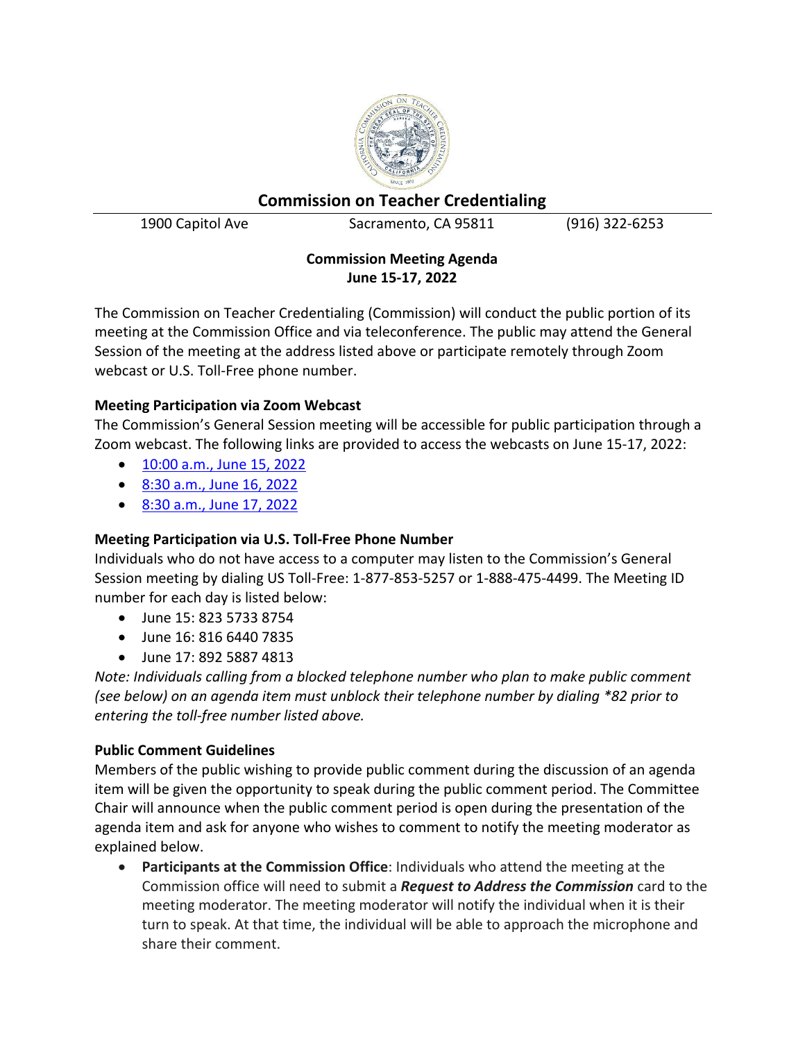

# **Commission on Teacher Credentialing**

1900 Capitol Ave Sacramento, CA 95811 (916) 322-6253

## **Commission Meeting Agenda June 15-17, 2022**

The Commission on Teacher Credentialing (Commission) will conduct the public portion of its meeting at the Commission Office and via teleconference. The public may attend the General Session of the meeting at the address listed above or participate remotely through Zoom webcast or U.S. Toll-Free phone number.

## **Meeting Participation via Zoom Webcast**

The Commission's General Session meeting will be accessible for public participation through a Zoom webcast. The following links are provided to access the webcasts on June 15-17, 2022:

- [10:00 a.m., June 15, 2022](https://us02web.zoom.us/j/82357338754)
- 8:30 [a.m., June 16, 2022](https://us02web.zoom.us/j/81664407835)
- [8:30 a.m., June 17, 2022](https://us02web.zoom.us/j/89258874813)

# **Meeting Participation via U.S. Toll-Free Phone Number**

Individuals who do not have access to a computer may listen to the Commission's General Session meeting by dialing US Toll-Free: 1-877-853-5257 or 1-888-475-4499. The Meeting ID number for each day is listed below:

- June 15: 823 5733 8754
- June 16: 816 6440 7835
- June 17: 892 5887 4813

*Note: Individuals calling from a blocked telephone number who plan to make public comment (see below) on an agenda item must unblock their telephone number by dialing \*82 prior to entering the toll-free number listed above.*

# **Public Comment Guidelines**

Members of the public wishing to provide public comment during the discussion of an agenda item will be given the opportunity to speak during the public comment period. The Committee Chair will announce when the public comment period is open during the presentation of the agenda item and ask for anyone who wishes to comment to notify the meeting moderator as explained below.

• **Participants at the Commission Office**: Individuals who attend the meeting at the Commission office will need to submit a *Request to Address the Commission* card to the meeting moderator. The meeting moderator will notify the individual when it is their turn to speak. At that time, the individual will be able to approach the microphone and share their comment.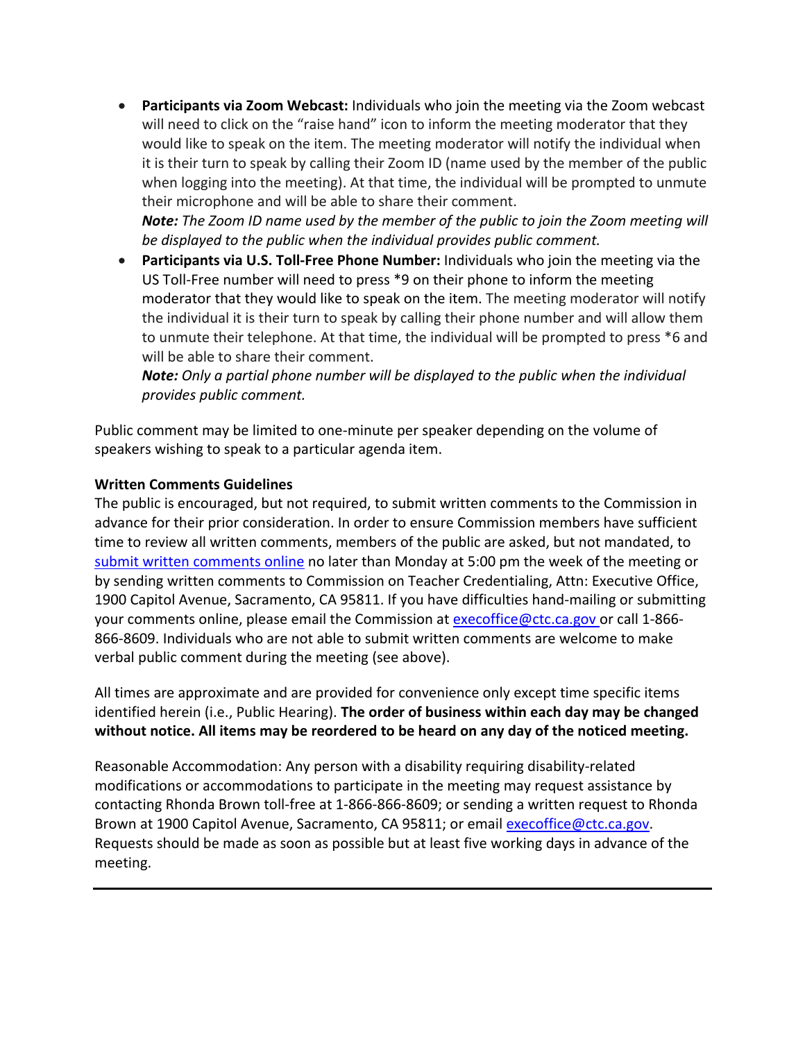• **Participants via Zoom Webcast:** Individuals who join the meeting via the Zoom webcast will need to click on the "raise hand" icon to inform the meeting moderator that they would like to speak on the item. The meeting moderator will notify the individual when it is their turn to speak by calling their Zoom ID (name used by the member of the public when logging into the meeting). At that time, the individual will be prompted to unmute their microphone and will be able to share their comment.

*Note: The Zoom ID name used by the member of the public to join the Zoom meeting will be displayed to the public when the individual provides public comment.* 

• **Participants via U.S. Toll-Free Phone Number:** Individuals who join the meeting via the US Toll-Free number will need to press \*9 on their phone to inform the meeting moderator that they would like to speak on the item. The meeting moderator will notify the individual it is their turn to speak by calling their phone number and will allow them to unmute their telephone. At that time, the individual will be prompted to press \*6 and will be able to share their comment.

*Note: Only a partial phone number will be displayed to the public when the individual provides public comment.*

Public comment may be limited to one-minute per speaker depending on the volume of speakers wishing to speak to a particular agenda item.

#### **Written Comments Guidelines**

The public is encouraged, but not required, to submit written comments to the Commission in advance for their prior consideration. In order to ensure Commission members have sufficient time to review all written comments, members of the public are asked, but not mandated, to [submit written comments online](https://public.ctc.ca.gov/Meetings/PublicComment/Submit/14) no later than Monday at 5:00 pm the week of the meeting or by sending written comments to Commission on Teacher Credentialing, Attn: Executive Office, 1900 Capitol Avenue, Sacramento, CA 95811. If you have difficulties hand-mailing or submitting your comments online, please email the Commission at [execoffice@ctc.ca.gov](mailto:execoffice@ctc.ca.gov) or call 1-866- 866-8609. Individuals who are not able to submit written comments are welcome to make verbal public comment during the meeting (see above).

All times are approximate and are provided for convenience only except time specific items identified herein (i.e., Public Hearing). **The order of business within each day may be changed without notice. All items may be reordered to be heard on any day of the noticed meeting.** 

Reasonable Accommodation: Any person with a disability requiring disability-related modifications or accommodations to participate in the meeting may request assistance by contacting Rhonda Brown toll-free at 1-866-866-8609; or sending a written request to Rhonda Brown at 1900 Capitol Avenue, Sacramento, CA 95811; or email [execoffice@ctc.ca.gov.](mailto:execoffice@ctc.ca.gov) Requests should be made as soon as possible but at least five working days in advance of the meeting.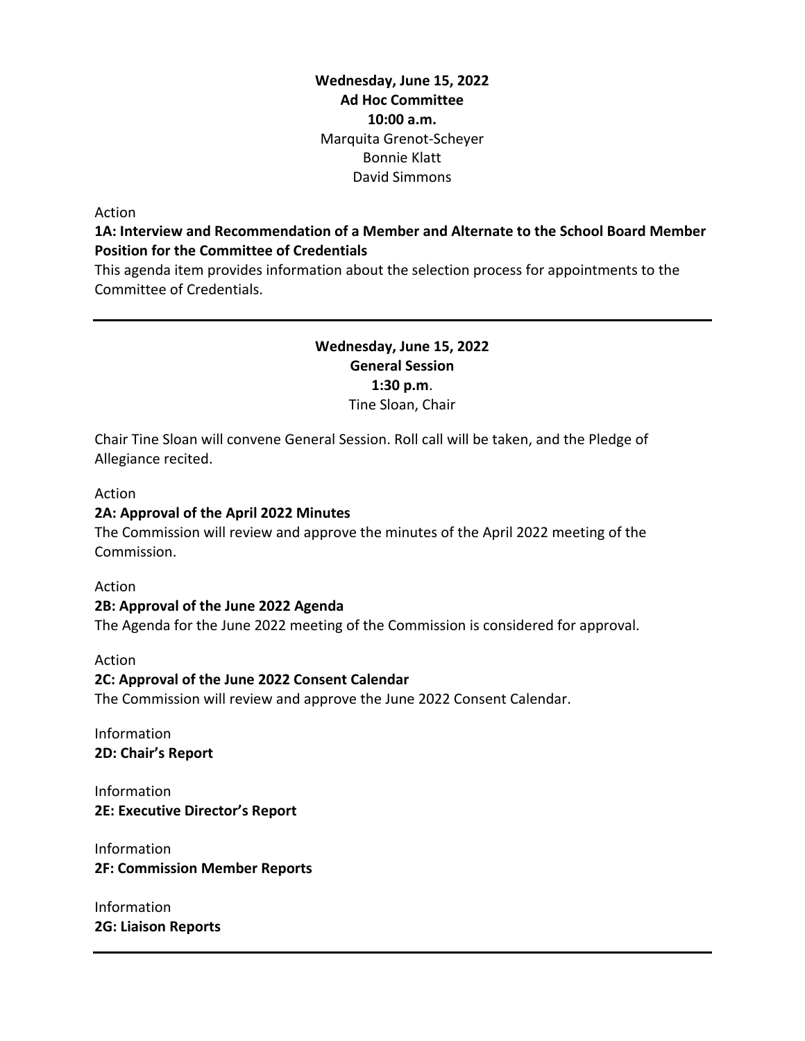### **Wednesday, June 15, 2022 Ad Hoc Committee 10:00 a.m.** Marquita Grenot-Scheyer Bonnie Klatt David Simmons

#### Action

#### **1A: Interview and Recommendation of a Member and Alternate to the School Board Member Position for the Committee of Credentials**

This agenda item provides information about the selection process for appointments to the Committee of Credentials.

### **Wednesday, June 15, 2022 General Session 1:30 p.m**. Tine Sloan, Chair

Chair Tine Sloan will convene General Session. Roll call will be taken, and the Pledge of Allegiance recited.

#### Action

#### **2A: Approval of the April 2022 Minutes**

The Commission will review and approve the minutes of the April 2022 meeting of the Commission.

#### Action

#### **2B: Approval of the June 2022 Agenda**

The Agenda for the June 2022 meeting of the Commission is considered for approval.

#### Action

#### **2C: Approval of the June 2022 Consent Calendar**

The Commission will review and approve the June 2022 Consent Calendar.

Information **2D: Chair's Report**

Information **2E: Executive Director's Report**

Information **2F: Commission Member Reports**

Information **2G: Liaison Reports**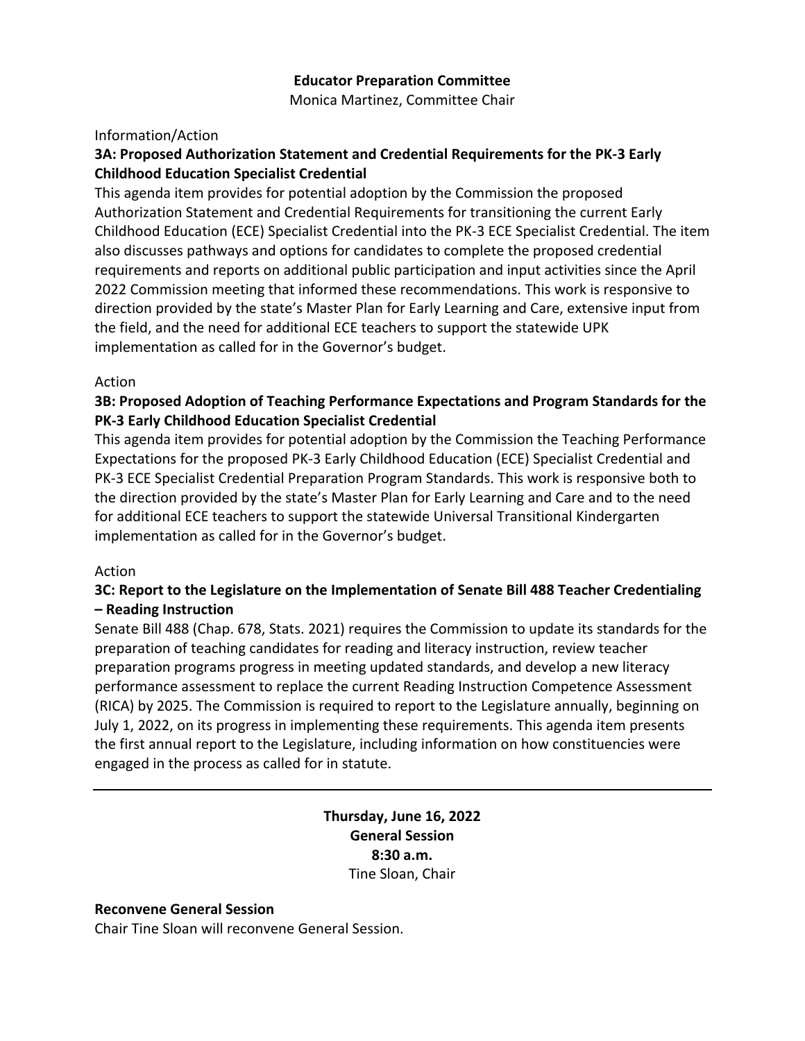#### **Educator Preparation Committee**

Monica Martinez, Committee Chair

#### Information/Action

### **3A: Proposed Authorization Statement and Credential Requirements for the PK-3 Early Childhood Education Specialist Credential**

This agenda item provides for potential adoption by the Commission the proposed Authorization Statement and Credential Requirements for transitioning the current Early Childhood Education (ECE) Specialist Credential into the PK-3 ECE Specialist Credential. The item also discusses pathways and options for candidates to complete the proposed credential requirements and reports on additional public participation and input activities since the April 2022 Commission meeting that informed these recommendations. This work is responsive to direction provided by the state's Master Plan for Early Learning and Care, extensive input from the field, and the need for additional ECE teachers to support the statewide UPK implementation as called for in the Governor's budget.

#### Action

### **3B: Proposed Adoption of Teaching Performance Expectations and Program Standards for the PK-3 Early Childhood Education Specialist Credential**

This agenda item provides for potential adoption by the Commission the Teaching Performance Expectations for the proposed PK-3 Early Childhood Education (ECE) Specialist Credential and PK-3 ECE Specialist Credential Preparation Program Standards. This work is responsive both to the direction provided by the state's Master Plan for Early Learning and Care and to the need for additional ECE teachers to support the statewide Universal Transitional Kindergarten implementation as called for in the Governor's budget.

#### Action

### **3C: Report to the Legislature on the Implementation of Senate Bill 488 Teacher Credentialing – Reading Instruction**

Senate Bill 488 (Chap. 678, Stats. 2021) requires the Commission to update its standards for the preparation of teaching candidates for reading and literacy instruction, review teacher preparation programs progress in meeting updated standards, and develop a new literacy performance assessment to replace the current Reading Instruction Competence Assessment (RICA) by 2025. The Commission is required to report to the Legislature annually, beginning on July 1, 2022, on its progress in implementing these requirements. This agenda item presents the first annual report to the Legislature, including information on how constituencies were engaged in the process as called for in statute.

> **Thursday, June 16, 2022 General Session 8:30 a.m.** Tine Sloan, Chair

#### **Reconvene General Session**

Chair Tine Sloan will reconvene General Session.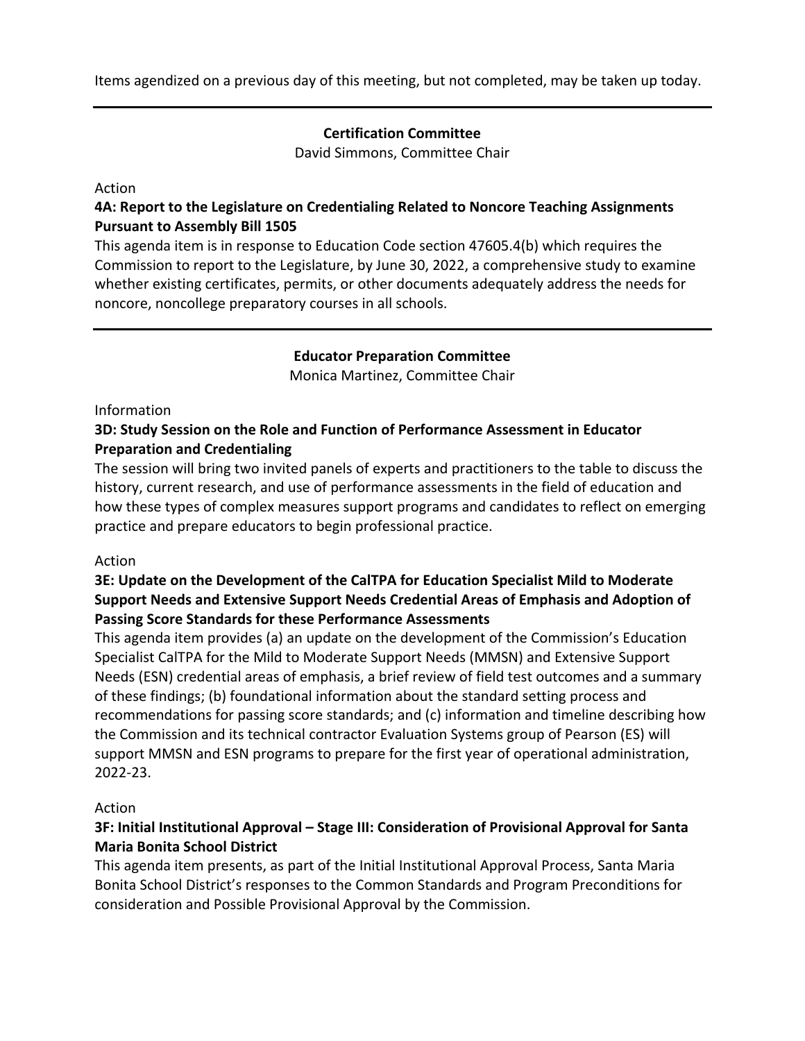Items agendized on a previous day of this meeting, but not completed, may be taken up today.

#### **Certification Committee**

David Simmons, Committee Chair

#### Action

## **4A: Report to the Legislature on Credentialing Related to Noncore Teaching Assignments Pursuant to Assembly Bill 1505**

This agenda item is in response to Education Code section 47605.4(b) which requires the Commission to report to the Legislature, by June 30, 2022, a comprehensive study to examine whether existing certificates, permits, or other documents adequately address the needs for noncore, noncollege preparatory courses in all schools.

#### **Educator Preparation Committee**

Monica Martinez, Committee Chair

#### Information

## **3D: Study Session on the Role and Function of Performance Assessment in Educator Preparation and Credentialing**

The session will bring two invited panels of experts and practitioners to the table to discuss the history, current research, and use of performance assessments in the field of education and how these types of complex measures support programs and candidates to reflect on emerging practice and prepare educators to begin professional practice.

### Action

## **3E: Update on the Development of the CalTPA for Education Specialist Mild to Moderate Support Needs and Extensive Support Needs Credential Areas of Emphasis and Adoption of Passing Score Standards for these Performance Assessments**

This agenda item provides (a) an update on the development of the Commission's Education Specialist CalTPA for the Mild to Moderate Support Needs (MMSN) and Extensive Support Needs (ESN) credential areas of emphasis, a brief review of field test outcomes and a summary of these findings; (b) foundational information about the standard setting process and recommendations for passing score standards; and (c) information and timeline describing how the Commission and its technical contractor Evaluation Systems group of Pearson (ES) will support MMSN and ESN programs to prepare for the first year of operational administration, 2022-23.

#### Action

## **3F: Initial Institutional Approval – Stage III: Consideration of Provisional Approval for Santa Maria Bonita School District**

This agenda item presents, as part of the Initial Institutional Approval Process, Santa Maria Bonita School District's responses to the Common Standards and Program Preconditions for consideration and Possible Provisional Approval by the Commission.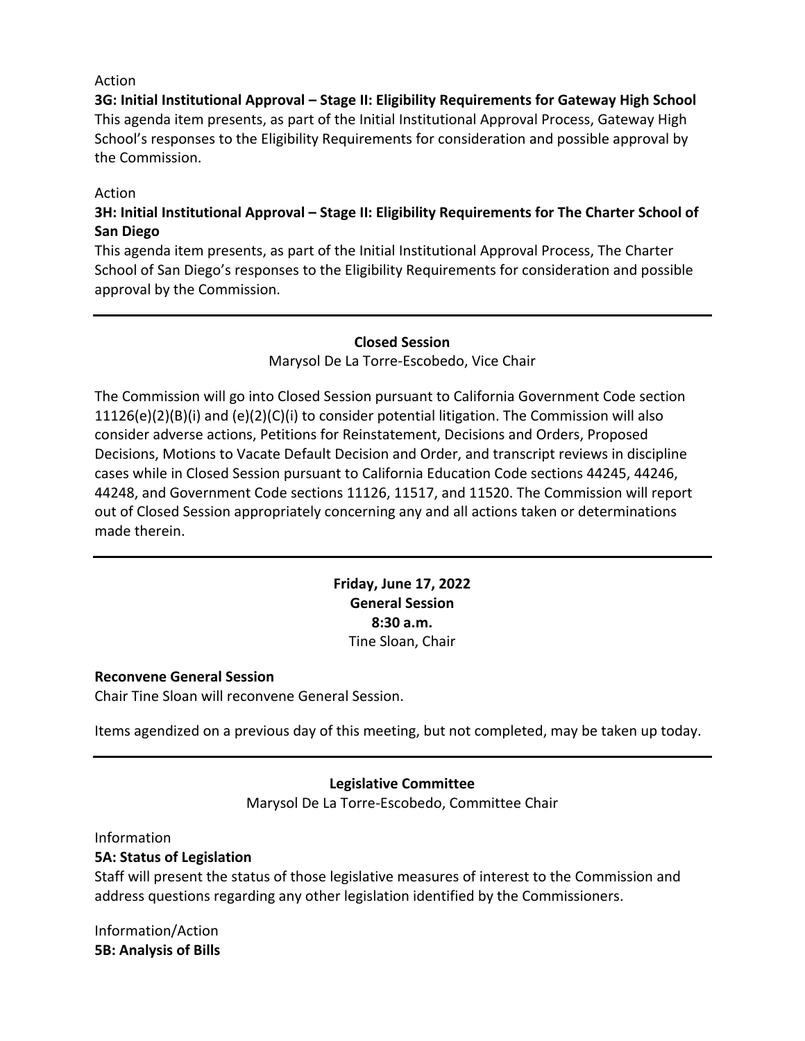#### Action

**3G: Initial Institutional Approval – Stage II: Eligibility Requirements for Gateway High School** This agenda item presents, as part of the Initial Institutional Approval Process, Gateway High School's responses to the Eligibility Requirements for consideration and possible approval by the Commission.

### Action

# **3H: Initial Institutional Approval – Stage II: Eligibility Requirements for The Charter School of San Diego**

This agenda item presents, as part of the Initial Institutional Approval Process, The Charter School of San Diego's responses to the Eligibility Requirements for consideration and possible approval by the Commission.

#### **Closed Session**

Marysol De La Torre-Escobedo, Vice Chair

The Commission will go into Closed Session pursuant to California Government Code section  $11126(e)(2)(B)(i)$  and  $(e)(2)(C)(i)$  to consider potential litigation. The Commission will also consider adverse actions, Petitions for Reinstatement, Decisions and Orders, Proposed Decisions, Motions to Vacate Default Decision and Order, and transcript reviews in discipline cases while in Closed Session pursuant to California Education Code sections 44245, 44246, 44248, and Government Code sections 11126, 11517, and 11520. The Commission will report out of Closed Session appropriately concerning any and all actions taken or determinations made therein.

> **Friday, June 17, 2022 General Session 8:30 a.m.** Tine Sloan, Chair

#### **Reconvene General Session**

Chair Tine Sloan will reconvene General Session.

Items agendized on a previous day of this meeting, but not completed, may be taken up today.

### **Legislative Committee**

Marysol De La Torre-Escobedo, Committee Chair

Information

### **5A: Status of Legislation**

Staff will present the status of those legislative measures of interest to the Commission and address questions regarding any other legislation identified by the Commissioners.

Information/Action **5B: Analysis of Bills**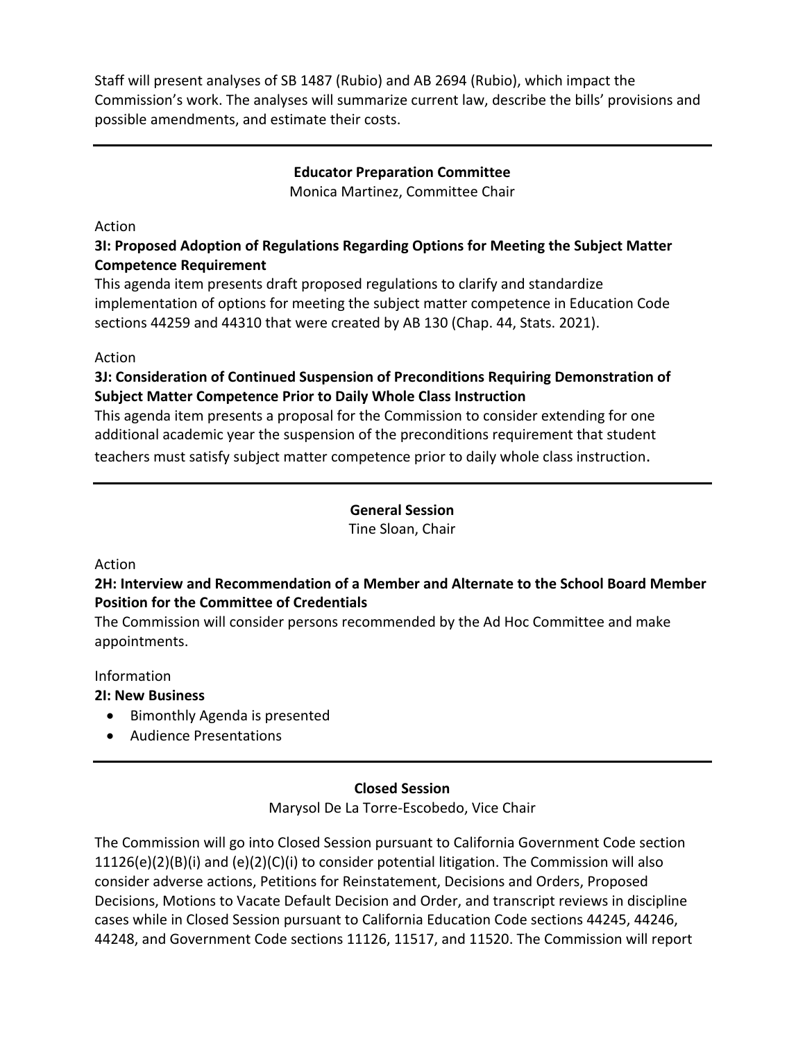Staff will present analyses of SB 1487 (Rubio) and AB 2694 (Rubio), which impact the Commission's work. The analyses will summarize current law, describe the bills' provisions and possible amendments, and estimate their costs.

### **Educator Preparation Committee**

Monica Martinez, Committee Chair

#### Action

## **3I: Proposed Adoption of Regulations Regarding Options for Meeting the Subject Matter Competence Requirement**

This agenda item presents draft proposed regulations to clarify and standardize implementation of options for meeting the subject matter competence in Education Code sections 44259 and 44310 that were created by AB 130 (Chap. 44, Stats. 2021).

### Action

## **3J: Consideration of Continued Suspension of Preconditions Requiring Demonstration of Subject Matter Competence Prior to Daily Whole Class Instruction**

This agenda item presents a proposal for the Commission to consider extending for one additional academic year the suspension of the preconditions requirement that student teachers must satisfy subject matter competence prior to daily whole class instruction.

# **General Session**

Tine Sloan, Chair

#### Action

## **2H: Interview and Recommendation of a Member and Alternate to the School Board Member Position for the Committee of Credentials**

The Commission will consider persons recommended by the Ad Hoc Committee and make appointments.

#### Information

### **2I: New Business**

- Bimonthly Agenda is presented
- Audience Presentations

### **Closed Session**

Marysol De La Torre-Escobedo, Vice Chair

The Commission will go into Closed Session pursuant to California Government Code section  $11126(e)(2)(B)(i)$  and  $(e)(2)(C)(i)$  to consider potential litigation. The Commission will also consider adverse actions, Petitions for Reinstatement, Decisions and Orders, Proposed Decisions, Motions to Vacate Default Decision and Order, and transcript reviews in discipline cases while in Closed Session pursuant to California Education Code sections 44245, 44246, 44248, and Government Code sections 11126, 11517, and 11520. The Commission will report